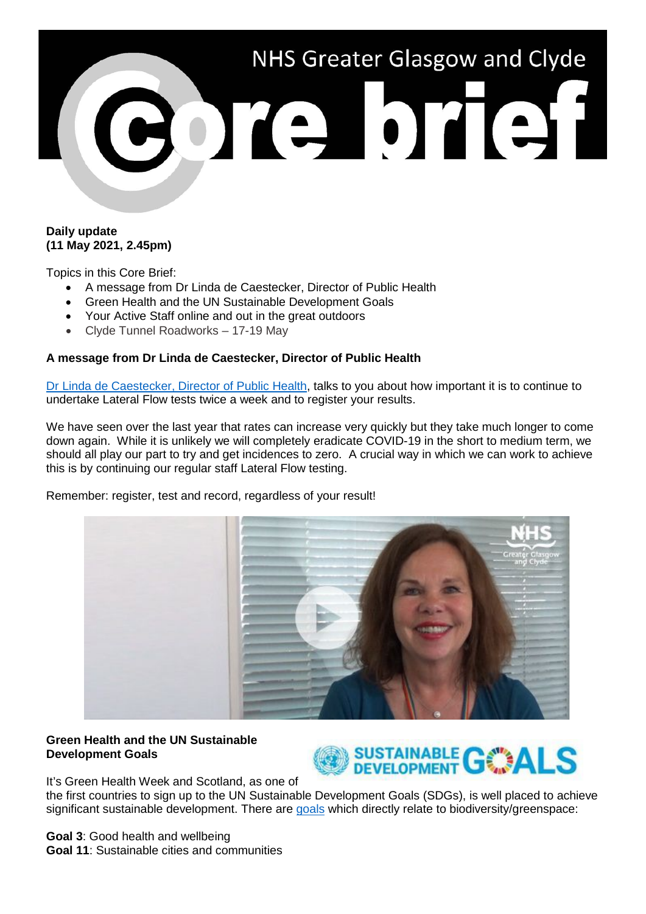

### **Daily update (11 May 2021, 2.45pm)**

Topics in this Core Brief:

- A message from Dr Linda de Caestecker, Director of Public Health
- Green Health and the UN Sustainable Development Goals
- Your Active Staff online and out in the great outdoors
- Clyde Tunnel Roadworks 17-19 May

## **A message from Dr Linda de Caestecker, Director of Public Health**

[Dr Linda de Caestecker, Director of Public Health,](https://www.youtube.com/watch?v=AYnmPi5aUlU) talks to you about how important it is to continue to undertake Lateral Flow tests twice a week and to register your results.

We have seen over the last year that rates can increase very quickly but they take much longer to come down again. While it is unlikely we will completely eradicate COVID-19 in the short to medium term, we should all play our part to try and get incidences to zero. A crucial way in which we can work to achieve this is by continuing our regular staff Lateral Flow testing.

Remember: register, test and record, regardless of your result!



# **Green Health and the UN Sustainable Development Goals**



It's Green Health Week and Scotland, as one of the first countries to sign up to the UN Sustainable Development Goals (SDGs), is well placed to achieve significant sustainable development. There are [goals](https://sdgs.un.org/goals) which directly relate to biodiversity/greenspace:

**Goal 3**: Good health and wellbeing **Goal 11**: Sustainable cities and communities